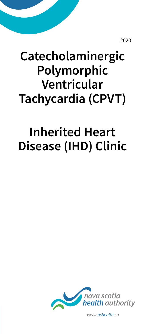2020

# **Catecholaminergic Polymorphic Ventricular Tachycardia (CPVT)**

# **Inherited Heart Disease (IHD) Clinic**



*www.nshealth.ca*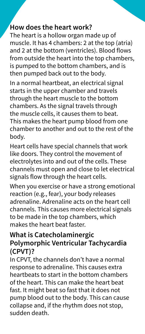#### **How does the heart work?**

The heart is a hollow organ made up of muscle. It has 4 chambers: 2 at the top (atria) and 2 at the bottom (ventricles). Blood flows from outside the heart into the top chambers, is pumped to the bottom chambers, and is then pumped back out to the body.

In a normal heartbeat, an electrical signal starts in the upper chamber and travels through the heart muscle to the bottom chambers. As the signal travels through the muscle cells, it causes them to beat. This makes the heart pump blood from one chamber to another and out to the rest of the body.

Heart cells have special channels that work like doors. They control the movement of electrolytes into and out of the cells. These channels must open and close to let electrical signals flow through the heart cells.

When you exercise or have a strong emotional reaction (e.g., fear), your body releases adrenaline. Adrenaline acts on the heart cell channels. This causes more electrical signals to be made in the top chambers, which makes the heart beat faster.

#### **What is Catecholaminergic Polymorphic Ventricular Tachycardia (CPVT)?**

In CPVT, the channels don't have a normal response to adrenaline. This causes extra heartbeats to start in the bottom chambers of the heart. This can make the heart beat fast. It might beat so fast that it does not pump blood out to the body. This can cause collapse and, if the rhythm does not stop, sudden death.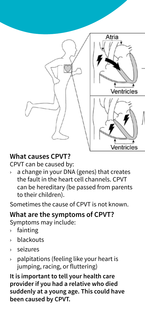

### **What causes CPVT?**

CPVT can be caused by:

 $\rightarrow$  a change in your DNA (genes) that creates the fault in the heart cell channels. CPVT can be hereditary (be passed from parents to their children).

Sometimes the cause of CPVT is not known.

#### **What are the symptoms of CPVT?**

Symptoms may include:

- › fainting
- › blackouts
- › seizures
- $\rightarrow$  palpitations (feeling like your heart is jumping, racing, or fluttering)

**It is important to tell your health care provider if you had a relative who died suddenly at a young age. This could have been caused by CPVT.**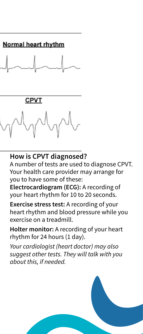

#### **How is CPVT diagnosed?**

A number of tests are used to diagnose CPVT. Your health care provider may arrange for you to have some of these:

**Electrocardiogram (ECG):** A recording of your heart rhythm for 10 to 20 seconds.

**Exercise stress test:** A recording of your heart rhythm and blood pressure while you exercise on a treadmill.

**Holter monitor:** A recording of your heart rhythm for 24 hours (1 day).

*Your cardiologist (heart doctor) may also suggest other tests. They will talk with you about this, if needed.*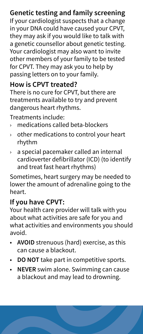## **Genetic testing and family screening**

If your cardiologist suspects that a change in your DNA could have caused your CPVT, they may ask if you would like to talk with a genetic counsellor about genetic testing. Your cardiologist may also want to invite other members of your family to be tested for CPVT. They may ask you to help by passing letters on to your family.

#### **How is CPVT treated?**

There is no cure for CPVT, but there are treatments available to try and prevent dangerous heart rhythms.

Treatments include:

- › medications called beta-blockers
- $\rightarrow$  other medications to control your heart rhythm
- › a special pacemaker called an internal cardioverter defibrillator (ICD) (to identify and treat fast heart rhythms)

Sometimes, heart surgery may be needed to lower the amount of adrenaline going to the heart.

#### **If you have CPVT:**

Your health care provider will talk with you about what activities are safe for you and what activities and environments you should avoid.

- **AVOID** strenuous (hard) exercise, as this can cause a blackout.
- **DO NOT** take part in competitive sports.
- **NEVER** swim alone. Swimming can cause a blackout and may lead to drowning.